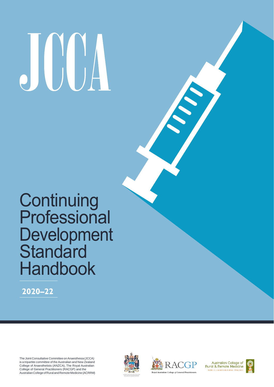# 

## **Continuing** Professional Development **Standard** Handbook

**2020–22**

The Joint Consultative Committee on Anaesthesia (JCCA) is a tripartite committee of the Australian and New Zealand College of Anaesthetists (ANZCA), The Royal Australian College of General Practitioners (RACGP) and the AustralianCollegeofRuralandRemoteMedicine(ACRRM)





Australian College of Rural & Remote Medicine WORLD LEADERS IN RURAL PRACT

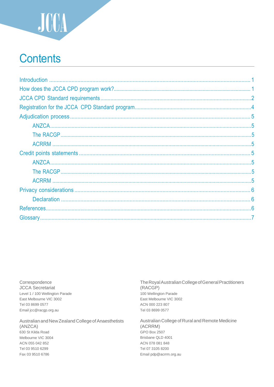

## **Contents**

Correspondence **JCCA** Secretariat Level 1 / 100 Wellington Parade East Melbourne VIC 3002 Tel 03 8699 0577 Email jcc@racgp.org.au

Australian and New Zealand College of Anaesthetists (ANZCA) 630 St Kilda Road Melbourne VIC 3004 ACN 055 042 852 Tel 03 9510 6299 Fax 03 9510 6786

The Royal Australian College of General Practitioners (RACGP) 100 Wellington Parade East Melbourne VIC 3002 ACN 000 223 807 Tel 03 8699 0577

Australian College of Rural and Remote Medicine (ACRRM) GPO Box 2507 Brisbane QLD 4001 ACN 078 081 848 Tel 07 3105 8200 Email pdp@acrrm.org.au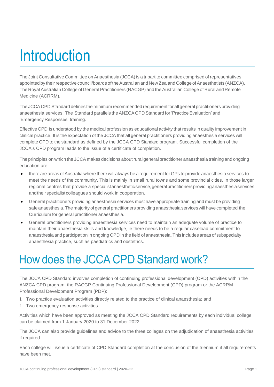# **Introduction**

The Joint Consultative Committee on Anaesthesia (JCCA) is a tripartite committee comprised of representatives appointed by their respective council/boards of the Australian and New Zealand College of Anaesthetists (ANZCA), The Royal Australian College of General Practitioners (RACGP) and the Australian College of Rural and Remote Medicine (ACRRM).

The JCCA CPD Standard defines the minimum recommended requirement for all general practitioners providing anaesthesia services. The Standard parallels the ANZCA CPD Standard for 'Practice Evaluation' and 'Emergency Responses' training.

Effective CPD is understood by the medical profession as educational activity that results in quality improvement in clinical practice. It is the expectation of the JCCA that all general practitioners providing anaesthesia services will complete CPD to the standard as defined by the JCCA CPD Standard program. Successful completion of the JCCA's CPD program leads to the issue of a certificate of completion.

The principles on which the JCCA makes decisions about rural general practitioner anaesthesia training and ongoing education are:

- there are areas of Australia where there will always be a requirement for GPs to provide anaesthesia services to meet the needs of the community. This is mainly in small rural towns and some provincial cities. In those larger regional centres that provide a specialistanaestheticservice, general practitioners providing anaesthesia services andtheirspecialistcolleagues should work in cooperation.
- General practitioners providing anaesthesia services must have appropriate training and must be providing safe anaesthesia. The majority of general practitioners providing anaesthesia services will have completed the Curriculum for general practitioner anaesthesia.
- General practitioners providing anaesthesia services need to maintain an adequate volume of practice to maintain their anaesthesia skills and knowledge, ie there needs to be a regular caseload commitment to anaesthesia and participation in ongoing CPD in the field of anaesthesia. This includes areas of subspecialty anaesthesia practice, such as paediatrics and obstetrics.

## How does the JCCA CPD Standard work?

The JCCA CPD Standard involves completion of continuing professional development (CPD) activities within the ANZCA CPD program, the RACGP Continuing Professional Development (CPD) program or the ACRRM Professional Development Program (PDP):

- 1. Two practice evaluation activities directly related to the practice of clinical anaesthesia; and
- 2. Two emergency response activities.

Activities which have been approved as meeting the JCCA CPD Standard requirements by each individual college can be claimed from 1 January 2020 to 31 December 2022.

The JCCA can also provide guidelines and advice to the three colleges on the adjudication of anaesthesia activities if required.

Each college will issue a certificate of CPD Standard completion at the conclusion of the triennium if all requirements have been met.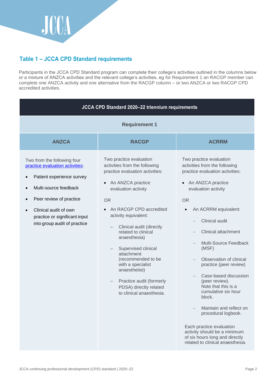

## **Table 1 – JCCA CPD Standard requirements**

Participants in the JCCA CPD Standard program can complete their college's activities outlined in the columns below or a mixture of ANZCA activities and the relevant college's activities, eg for Requirement 1 an RACGP member can complete one ANZCA activity and one alternative from the RACGP column – or two ANZCA or two RACGP CPD accredited activities.

| JCCA CPD Standard 2020-22 triennium requirements                                                                                                                                                                                          |                                                                                                                                                                                                                                                                                                                                                                                                                                                         |                                                                                                                                                                                                                                                                                                                                                                                                                                                                                                                                                                                                                                        |  |
|-------------------------------------------------------------------------------------------------------------------------------------------------------------------------------------------------------------------------------------------|---------------------------------------------------------------------------------------------------------------------------------------------------------------------------------------------------------------------------------------------------------------------------------------------------------------------------------------------------------------------------------------------------------------------------------------------------------|----------------------------------------------------------------------------------------------------------------------------------------------------------------------------------------------------------------------------------------------------------------------------------------------------------------------------------------------------------------------------------------------------------------------------------------------------------------------------------------------------------------------------------------------------------------------------------------------------------------------------------------|--|
| <b>Requirement 1</b>                                                                                                                                                                                                                      |                                                                                                                                                                                                                                                                                                                                                                                                                                                         |                                                                                                                                                                                                                                                                                                                                                                                                                                                                                                                                                                                                                                        |  |
| <b>ANZCA</b>                                                                                                                                                                                                                              | <b>RACGP</b>                                                                                                                                                                                                                                                                                                                                                                                                                                            | <b>ACRRM</b>                                                                                                                                                                                                                                                                                                                                                                                                                                                                                                                                                                                                                           |  |
| Two from the following four<br>practice evaluation activities:<br>Patient experience survey<br>Multi-source feedback<br>Peer review of practice<br>Clinical audit of own<br>practice or significant input<br>into group audit of practice | Two practice evaluation<br>activities from the following<br>practice evaluation activities:<br>An ANZCA practice<br>evaluation activity<br>OR.<br>An RACGP CPD accredited<br>activity equivalent:<br>Clinical audit (directly<br>related to clinical<br>anaesthesia)<br>Supervised clinical<br>attachment<br>(recommended to be<br>with a specialist<br>anaesthetist)<br>Practice audit (formerly<br>PDSA) directly related<br>to clinical anaesthesia. | Two practice evaluation<br>activities from the following<br>practice evaluation activities:<br>An ANZCA practice<br>evaluation activity<br><b>OR</b><br>An ACRRM equivalent:<br>Clinical audit<br><b>Clinical attachment</b><br>Multi-Source Feedback<br>$\overline{\phantom{0}}$<br>(MSF)<br>Observation of clinical<br>practice (peer review)<br>Case-based discussion<br>(peer review).<br>Note that this is a<br>cumulative six hour<br>block.<br>Maintain and reflect on<br>procedural logbook.<br>Each practice evaluation<br>activity should be a minimum<br>of six hours long and directly<br>related to clinical anaesthesia. |  |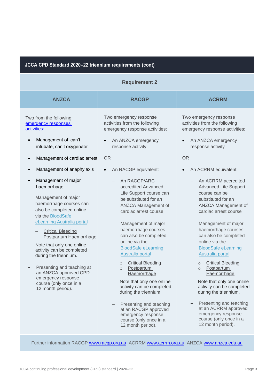#### **JCCA CPD Standard 2020–22 triennium requirements (cont)**

| <b>Requirement 2</b>                                                                                                                                                                                                                                                                                                                                                                                                                                  |                                                                                                                                                                                                                                                                                                                                                                                                                                                                                                                                                                                     |                                                                                                                                                                                                                                                                                                                                                                                                                                                                                                                                                                                 |  |
|-------------------------------------------------------------------------------------------------------------------------------------------------------------------------------------------------------------------------------------------------------------------------------------------------------------------------------------------------------------------------------------------------------------------------------------------------------|-------------------------------------------------------------------------------------------------------------------------------------------------------------------------------------------------------------------------------------------------------------------------------------------------------------------------------------------------------------------------------------------------------------------------------------------------------------------------------------------------------------------------------------------------------------------------------------|---------------------------------------------------------------------------------------------------------------------------------------------------------------------------------------------------------------------------------------------------------------------------------------------------------------------------------------------------------------------------------------------------------------------------------------------------------------------------------------------------------------------------------------------------------------------------------|--|
| <b>ANZCA</b>                                                                                                                                                                                                                                                                                                                                                                                                                                          | <b>RACGP</b>                                                                                                                                                                                                                                                                                                                                                                                                                                                                                                                                                                        | <b>ACRRM</b>                                                                                                                                                                                                                                                                                                                                                                                                                                                                                                                                                                    |  |
| Two from the following<br>emergency responses<br>activities:                                                                                                                                                                                                                                                                                                                                                                                          | Two emergency response<br>activities from the following<br>emergency response activities:                                                                                                                                                                                                                                                                                                                                                                                                                                                                                           | Two emergency response<br>activities from the following<br>emergency response activities:                                                                                                                                                                                                                                                                                                                                                                                                                                                                                       |  |
| Management of 'can't<br>intubate, can't oxygenate'                                                                                                                                                                                                                                                                                                                                                                                                    | An ANZCA emergency<br>response activity                                                                                                                                                                                                                                                                                                                                                                                                                                                                                                                                             | An ANZCA emergency<br>response activity                                                                                                                                                                                                                                                                                                                                                                                                                                                                                                                                         |  |
| Management of cardiac arrest<br>$\bullet$                                                                                                                                                                                                                                                                                                                                                                                                             | <b>OR</b>                                                                                                                                                                                                                                                                                                                                                                                                                                                                                                                                                                           | <b>OR</b>                                                                                                                                                                                                                                                                                                                                                                                                                                                                                                                                                                       |  |
| Management of anaphylaxis<br>$\bullet$                                                                                                                                                                                                                                                                                                                                                                                                                | An RACGP equivalent:<br>$\bullet$                                                                                                                                                                                                                                                                                                                                                                                                                                                                                                                                                   | An ACRRM equivalent:                                                                                                                                                                                                                                                                                                                                                                                                                                                                                                                                                            |  |
| Management of major<br>$\bullet$<br>haemorrhage<br>Management of major<br>haemorrhage courses can<br>also be completed online<br>via the BloodSafe<br>eLearning Australia portal<br><b>Critical Bleeding</b><br>Postpartum Haemorrhage<br>Note that only one online<br>activity can be completed<br>during the triennium.<br>Presenting and teaching at<br>an ANZCA approved CPD<br>emergency response<br>course (only once in a<br>12 month period). | An RACGP/ARC<br>accredited Advanced<br>Life Support course can<br>be substituted for an<br><b>ANZCA Management of</b><br>cardiac arrest course<br>Management of major<br>haemorrhage courses<br>can also be completed<br>online via the<br><b>BloodSafe eLearning</b><br>Australia portal<br><b>Critical Bleeding</b><br>$\circ$<br>Postpartum<br>$\circ$<br>Haemorrhage<br>Note that only one online<br>activity can be completed<br>during the triennium.<br>Presenting and teaching<br>at an RACGP approved<br>emergency response<br>course (only once in a<br>12 month period). | An ACRRM accredited<br><b>Advanced Life Support</b><br>course can be<br>substituted for an<br>ANZCA Management of<br>cardiac arrest course<br>Management of major<br>haemorrhage courses<br>can also be completed<br>online via the<br><b>BloodSafe eLearning</b><br>Australia portal<br><b>Critical Bleeding</b><br>$\circ$<br>Postpartum<br>$\circ$<br>Haemorrhage<br>Note that only one online<br>activity can be completed<br>during the triennium.<br>Presenting and teaching<br>at an ACRRM approved<br>emergency response<br>course (only once in a<br>12 month period). |  |

Further information RACGP [www.racgp.org.au](http://www.racgp.org.au/) ACRRM [www.acrrm.org.au](http://www.acrrm.org.au/) ANZCA www.anzca.edu.au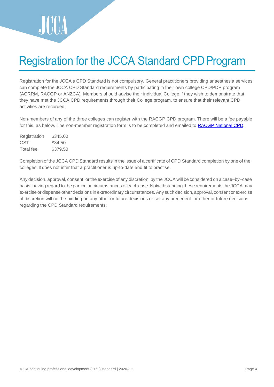

## Registration for the JCCA Standard CPDProgram

Registration for the JCCA's CPD Standard is not compulsory. General practitioners providing anaesthesia services can complete the JCCA CPD Standard requirements by participating in their own college CPD/PDP program (ACRRM, RACGP or ANZCA). Members should advise their individual College if they wish to demonstrate that they have met the JCCA CPD requirements through their College program, to ensure that their relevant CPD activities are recorded.

Non-members of any of the three colleges can register with the RACGP CPD program. There will be a fee payable for this, as below. The non-member registration form is to be completed and emailed to [RACGP National CPD.](mailto:cpd.national@racgp.org.au)

| Registration | \$345.00 |
|--------------|----------|
| GST          | \$34.50  |
| Total fee    | \$379.50 |

Completion of the JCCA CPD Standard results in the issue of a certificate of CPD Standard completion by one of the colleges. It does not infer that a practitioner is up-to-date and fit to practise.

Any decision, approval, consent, or the exercise of any discretion, by the JCCA will be considered on a case–by–case basis, having regard to the particular circumstances of each case. Notwithstanding these requirements the JCCA may exercise or dispense other decisions in extraordinary circumstances. Any such decision, approval, consent or exercise of discretion will not be binding on any other or future decisions or set any precedent for other or future decisions regarding the CPD Standard requirements.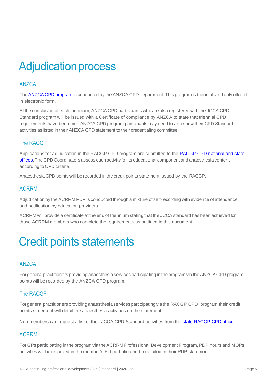## **Adjudication process**

#### <span id="page-6-0"></span>ANZCA

The ANZCA CPD [program](https://www.anzca.edu.au/education-training/anzca-and-fpm-cpd-program/requirements-of-the-anzca-and-fpm-cpd-program) is conducted by the ANZCA CPD [department.](https://cpd.anzca.edu.au/Account/LogOn?ReturnUrl=%2f) This program is triennial, and only offered in electronic form.

At the conclusion of each triennium, ANZCA CPD participants who are also registered with the JCCA CPD Standard program will be issued with a Certificate of compliance by ANZCA to state that triennial CPD requirements have been met. ANZCA CPD program participants may need to also show their CPD Standard activities as listed in their ANZCA CPD statement to their credentialing committee.

## <span id="page-6-1"></span>The RACGP

Applications for adjudication in the RACGP CPD program are submitted to the [RACGP CPD national and state](https://www.racgp.org.au/education/professional-development/qi-cpd/state-contact-details) [offices.](https://www.racgp.org.au/education/professional-development/qi-cpd/state-contact-details) The CPD Coordinators assess each activity forits educational component and anaesthesia content according to CPD criteria.

Anaesthesia CPD points will be recorded in the credit points statement issued by the RACGP.

#### <span id="page-6-2"></span>ACRRM

Adjudication by the ACRRM PDP is conducted through a mixture of self-recording with evidence of attendance, and notification by education providers.

ACRRM will provide a certificate at the end of triennium stating that the JCCA standard has been achieved for those ACRRM members who complete the requirements as outlined in this document.

## Credit points statements

## <span id="page-6-3"></span>ANZCA

For general practitioners providing anaesthesia services participating in the program via the ANZCA CPD program, points will be recorded by the ANZCA CPD program.

## <span id="page-6-4"></span>The RACGP

Forgeneral practitioners providinganaesthesia services participatingvia the RACGP CPD program their credit points statement will detail the anaesthesia activities on the statement.

Non-members can request a list of their JCCA CPD Standard activities from the [state RACGP CPD office.](https://www.racgp.org.au/education/professional-development/qi-cpd/state-contact-details)

#### <span id="page-6-5"></span>ACRRM

For GPs participating in the program via the ACRRM Professional Development Program, PDP hours and MOPs activities will be recorded in the member's PD portfolio and be detailed in their PDP statement.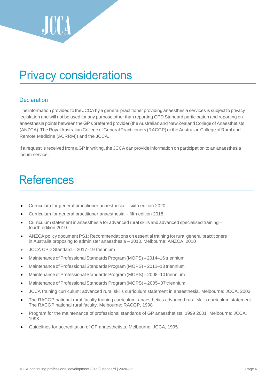

## <span id="page-7-0"></span>Privacy considerations

#### <span id="page-7-1"></span>**Declaration**

The information provided to the JCCA by a general practitioner providing anaesthesia services is subject to privacy legislation and will not be used for any purpose other than reporting CPD Standard participation and reporting on anaesthesia points between the GP's preferred provider (the Australian and New Zealand College of Anaesthetists (ANZCA), The Royal Australian College of General Practitioners (RACGP) or the Australian College of Rural and Remote Medicine (ACRRM)) and the JCCA.

If a request is received from a GP in writing, the JCCA can provide information on participation to an anaesthesia locum service.

## **References**

- Curriculum for general practitioner anaesthesia sixth edition 2020
- Curriculum for general practitioner anaesthesia fifth edition 2018
- Curriculum statement in anaesthesia for advanced rural skills and advanced specialised training fourth edition 2010
- ANZCA policy document PS1: Recommendations on essential training for rural general practitioners in Australia proposing to administer anaesthesia – 2010. Melbourne: ANZCA, 2010
- JCCA CPD Standard 2017–19 triennium
- Maintenance of Professional Standards Program (MOPS) 2014-16 triennium
- Maintenance of Professional Standards Program (MOPS) 2011-13 triennium
- Maintenance of Professional Standards Program (MOPS) 2008–10 triennium
- Maintenance of Professional Standards Program (MOPS) 2005–07 triennium
- JCCA training curriculum: advanced rural skills curriculum statement in anaesthesia. Melbourne: JCCA, 2003.
- The RACGP national rural faculty training curriculum: anaesthetics advanced rural skills curriculum statement. The RACGP national rural faculty. Melbourne: RACGP, 1998
- Program for the maintenance of professional standards of GP anaesthetists, 1999 2001. Melbourne: JCCA, 1998.
- Guidelines for accreditation of GP anaesthetists. Melbourne: JCCA, 1995.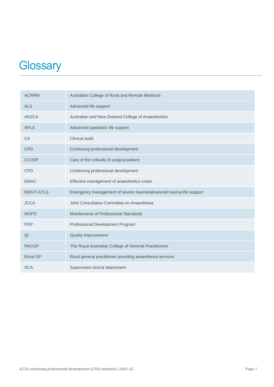## **Glossary**

| <b>ACRRM</b>     | Australian College of Rural and Remote Medicine                    |
|------------------|--------------------------------------------------------------------|
| <b>ALS</b>       | Advanced life support                                              |
| <b>ANZCA</b>     | Australian and New Zealand College of Anaesthetists                |
| <b>APLS</b>      | Advanced paediatric life support                                   |
| CA               | Clinical audit                                                     |
| <b>CPD</b>       | Continuing professional development                                |
| <b>CCrISP</b>    | Care of the critically ill surgical patient                        |
| <b>CPD</b>       | Continuing professional development                                |
| <b>EMAC</b>      | Effective management of anaesthetics crises                        |
| <b>EMST/ATLS</b> | Emergency management of severe trauma/advanced trauma life support |
| <b>JCCA</b>      | Joint Consultative Committee on Anaesthesia                        |
| <b>MOPS</b>      | Maintenance of Professional Standards                              |
| <b>PDP</b>       | Professional Development Program                                   |
| QI               | Quality improvement                                                |
| <b>RACGP</b>     | The Royal Australian College of General Practitioners              |
| <b>Rural GP</b>  | Rural general practitioner providing anaesthesia services          |
| <b>SCA</b>       | Supervised clinical attachment                                     |